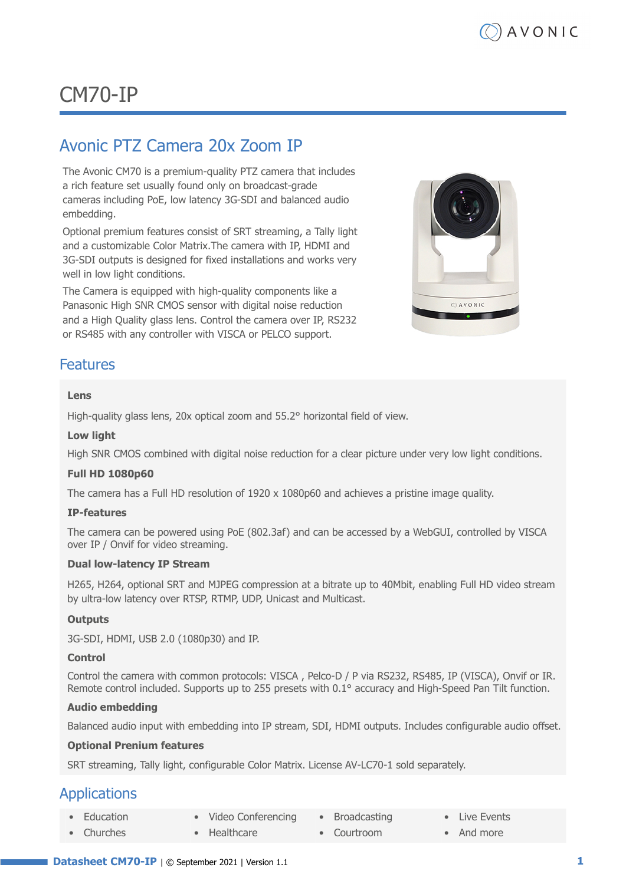# CM70-IP

# Avonic PTZ Camera 20x Zoom IP

The Avonic CM70 is a premium-quality PTZ camera that includes a rich feature set usually found only on broadcast-grade cameras including PoE, low latency 3G-SDI and balanced audio embedding.

Optional premium features consist of SRT streaming, a Tally light and a customizable Color Matrix.The camera with IP, HDMI and 3G-SDI outputs is designed for fixed installations and works very well in low light conditions.

The Camera is equipped with high-quality components like a Panasonic High SNR CMOS sensor with digital noise reduction and a High Quality glass lens. Control the camera over IP, RS232 or RS485 with any controller with VISCA or PELCO support.



#### Features

#### **Lens**

High-quality glass lens, 20x optical zoom and 55.2° horizontal field of view.

#### **Low light**

High SNR CMOS combined with digital noise reduction for a clear picture under very low light conditions.

#### **Full HD 1080p60**

The camera has a Full HD resolution of 1920 x 1080p60 and achieves a pristine image quality.

#### **IP-features**

The camera can be powered using PoE (802.3af) and can be accessed by a WebGUI, controlled by VISCA over IP / Onvif for video streaming.

#### **Dual low-latency IP Stream**

H265, H264, optional SRT and MJPEG compression at a bitrate up to 40Mbit, enabling Full HD video stream by ultra-low latency over RTSP, RTMP, UDP, Unicast and Multicast.

#### **Outputs**

3G-SDI, HDMI, USB 2.0 (1080p30) and IP.

#### **Control**

Control the camera with common protocols: VISCA , Pelco-D / P via RS232, RS485, IP (VISCA), Onvif or IR. Remote control included. Supports up to 255 presets with 0.1° accuracy and High-Speed Pan Tilt function.

#### **Audio embedding**

Balanced audio input with embedding into IP stream, SDI, HDMI outputs. Includes configurable audio offset.

#### **Optional Prenium features**

SRT streaming, Tally light, configurable Color Matrix. License AV-LC70-1 sold separately.

### Applications

- **Education** • Video Conferencing • Broadcasting
	- Churches • Healthcare
- Courtroom
- Live Events
- And more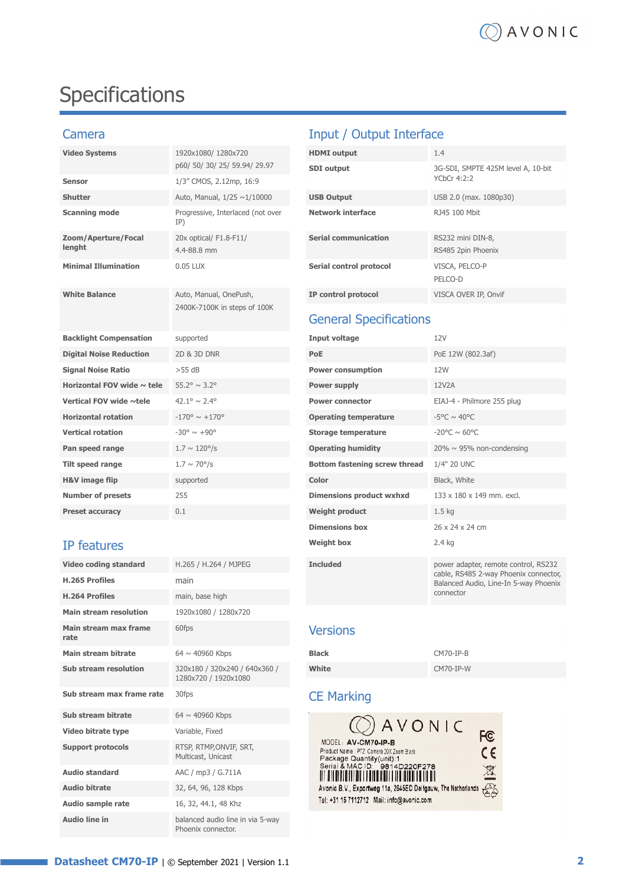# Specifications

| <b>Video Systems</b>            | 1920x1080/1280x720                                     | <b>HDMI</b> output              | 1.4                                     |
|---------------------------------|--------------------------------------------------------|---------------------------------|-----------------------------------------|
|                                 | p60/50/30/25/59.94/29.97                               | <b>SDI</b> output               | 3G-SDI, SMPTE 425M let                  |
| <b>Sensor</b>                   | 1/3" CMOS, 2.12mp, 16:9                                |                                 | YCbCr 4:2:2                             |
| <b>Shutter</b>                  | Auto, Manual, 1/25 ~1/10000                            | <b>USB Output</b>               | USB 2.0 (max. 1080p30)                  |
| <b>Scanning mode</b>            | Progressive, Interlaced (not over<br>IP)               | <b>Network interface</b>        | RJ45 100 Mbit                           |
| Zoom/Aperture/Focal<br>lenaht   | 20x optical/ F1.8-F11/<br>4.4-88.8 mm                  | <b>Serial communication</b>     | RS232 mini DIN-8,<br>RS485 2pin Phoenix |
| <b>Minimal Illumination</b>     | 0.05 LUX                                               | Serial control protocol         | VISCA, PELCO-P<br>PELCO-D               |
| <b>White Balance</b>            | Auto, Manual, OnePush,<br>2400K-7100K in steps of 100K | IP control protocol             | VISCA OVER IP, Onvif                    |
|                                 |                                                        | <b>General Specifications</b>   |                                         |
| <b>Backlight Compensation</b>   | supported                                              | <b>Input voltage</b>            | 12V                                     |
| <b>Digital Noise Reduction</b>  | 2D & 3D DNR                                            | PoE                             | PoE 12W (802.3af)                       |
| <b>Signal Noise Ratio</b>       | $>55$ dB                                               | <b>Power consumption</b>        | 12W                                     |
| Horizontal FOV wide $\sim$ tele | $55.2^{\circ} \sim 3.2^{\circ}$                        | Power supply                    | 12V2A                                   |
| Vertical FOV wide ~tele         | $42.1^{\circ} \sim 2.4^{\circ}$                        | <b>Power connector</b>          | EIAJ-4 - Philmore 255 pl                |
| <b>Horizontal rotation</b>      | $-170^{\circ} \sim +170^{\circ}$                       | <b>Operating temperature</b>    | -5°C $\sim$ 40°C                        |
| <b>Vertical rotation</b>        | $-30^{\circ} \sim +90^{\circ}$                         | <b>Storage temperature</b>      | $-20^{\circ}$ C ~ 60°C                  |
| Pan speed range                 | $1.7 \sim 120^{\circ}/s$                               | <b>Operating humidity</b>       | $20\% \sim 95\%$ non-conder             |
| <b>Tilt speed range</b>         | $1.7 \sim 70^{\circ}/s$                                | Bottom fastening screw thread   | 1/4" 20 UNC                             |
| <b>H&amp;V</b> image flip       | supported                                              | Color                           | Black, White                            |
| <b>Number of presets</b>        | 255                                                    | <b>Dimensions product wxhxd</b> | 133 x 180 x 149 mm. ex                  |
| <b>Preset accuracy</b>          |                                                        |                                 |                                         |

## **IP features**

| Video coding standard         | H.265 / H.264 / MJPEG                                  | <b>Included</b>                                                                             | power adap                       |
|-------------------------------|--------------------------------------------------------|---------------------------------------------------------------------------------------------|----------------------------------|
| <b>H.265 Profiles</b>         | main                                                   |                                                                                             | cable, RS48<br><b>Balanced A</b> |
| <b>H.264 Profiles</b>         | main, base high                                        |                                                                                             | connector                        |
| <b>Main stream resolution</b> | 1920x1080 / 1280x720                                   |                                                                                             |                                  |
| Main stream max frame<br>rate | 60fps                                                  | <b>Versions</b>                                                                             |                                  |
| Main stream bitrate           | $64 \sim 40960$ Kbps                                   | <b>Black</b>                                                                                | $CM70-IP-B$                      |
| <b>Sub stream resolution</b>  | 320x180 / 320x240 / 640x360 /<br>1280x720 / 1920x1080  | White                                                                                       | CM70-IP-W                        |
| Sub stream max frame rate     | 30fps                                                  | <b>CE Marking</b>                                                                           |                                  |
| Sub stream bitrate            | $64 \sim 40960$ Kbps                                   |                                                                                             |                                  |
| Video bitrate type            | Variable, Fixed                                        | AVONIC                                                                                      |                                  |
| <b>Support protocols</b>      | RTSP, RTMP, ONVIF, SRT,<br>Multicast, Unicast          | MODEL: AV-CM70-IP-B<br>Product Name : PTZ Camera 20X Zoom Black<br>Package Quantity(unit):1 |                                  |
| <b>Audio standard</b>         | AAC / mp3 / G.711A                                     | Serial & MAC ID: 9814D220F278                                                               |                                  |
| <b>Audio bitrate</b>          | 32, 64, 96, 128 Kbps                                   | Avonic B.V., Exportweg 11a, 2645ED Delfgauw, The Netherla                                   |                                  |
| <b>Audio sample rate</b>      | 16, 32, 44.1, 48 Khz                                   | Tel: +31 15 7112712 Mail: info@avonic.com                                                   |                                  |
| <b>Audio line in</b>          | balanced audio line in via 5-way<br>Phoenix connector. |                                                                                             |                                  |

# Camera **Input / Output Interface**

| <b>HDMI</b> output      | 1.4                                               |
|-------------------------|---------------------------------------------------|
| <b>SDI</b> output       | 3G-SDI, SMPTE 425M level A, 10-bit<br>YChCr 4:2:2 |
| <b>USB Output</b>       | USB 2.0 (max. 1080p30)                            |
| Network interface       | R145 100 Mbit                                     |
| Serial communication    | RS232 mini DIN-8,<br>RS485 2pin Phoenix           |
| Serial control protocol | VISCA, PELCO-P<br>PELCO-D                         |
| IP control protocol     | VISCA OVER IP, Onvif                              |

# General Specifications

| <b>Backlight Compensation</b>   | supported                        | Input voltage                   | 12V                                                                            |
|---------------------------------|----------------------------------|---------------------------------|--------------------------------------------------------------------------------|
| <b>Digital Noise Reduction</b>  | 2D & 3D DNR                      | <b>PoE</b>                      | PoE 12W (802.3af)                                                              |
| <b>Signal Noise Ratio</b>       | $>55$ dB                         | <b>Power consumption</b>        | 12W                                                                            |
| Horizontal FOV wide $\sim$ tele | $55.2^{\circ} \sim 3.2^{\circ}$  | Power supply                    | 12V2A                                                                          |
| Vertical FOV wide ~tele         | $42.1^{\circ} \sim 2.4^{\circ}$  | <b>Power connector</b>          | EIAJ-4 - Philmore 255 plug                                                     |
| <b>Horizontal rotation</b>      | $-170^{\circ} \sim +170^{\circ}$ | <b>Operating temperature</b>    | $-5^{\circ}$ C ~ 40°C                                                          |
| <b>Vertical rotation</b>        | $-30^{\circ} \sim +90^{\circ}$   | <b>Storage temperature</b>      | $-20^{\circ}$ C ~ 60°C                                                         |
| Pan speed range                 | $1.7 \sim 120^{\circ}/s$         | <b>Operating humidity</b>       | $20\% \sim 95\%$ non-condensing                                                |
| Tilt speed range                | $1.7 \sim 70^{\circ}/s$          | Bottom fastening screw thread   | 1/4" 20 UNC                                                                    |
| <b>H&amp;V</b> image flip       | supported                        | Color                           | Black, White                                                                   |
| <b>Number of presets</b>        | 255                              | <b>Dimensions product wxhxd</b> | 133 x 180 x 149 mm. excl.                                                      |
| <b>Preset accuracy</b>          | 0.1                              | <b>Weight product</b>           | 1.5 <sub>kq</sub>                                                              |
|                                 |                                  | <b>Dimensions box</b>           | 26 x 24 x 24 cm                                                                |
| IP features                     |                                  | <b>Weight box</b>               | 2.4 kg                                                                         |
| Video coding standard           | H.265 / H.264 / MJPEG            | <b>Included</b>                 | power adapter, remote control, RS232                                           |
| <b>H.265 Profiles</b>           | main                             |                                 | cable, RS485 2-way Phoenix connector,<br>Balanced Audio, Line-In 5-way Phoenix |
| <b>H.264 Profiles</b>           | main, base high                  |                                 | connector                                                                      |

## Versions

| <b>Black</b> | CM70-IP-B |
|--------------|-----------|
| White        | CM70-IP-W |

# **CE Marking**

| $\circledcirc$ AVONIC<br>MODEL: AV-CM70-IP-B                                                                                                                        | F <sub>C</sub>  |
|---------------------------------------------------------------------------------------------------------------------------------------------------------------------|-----------------|
| Product Name : PTZ Camera 20X Zoom Black<br>Package Quantity(unit):1<br>Serial & MAC ID: 9814D220F278<br>FIT BY BY FIRMY BIT I BUT BY DET A 11 B I BY DATA THE UIT. | $\epsilon$<br>⊠ |
| Avonic B.V., Exportweg 11a, 2645ED Delfgauw, The Netherlands<br>Tel: +31 15 7112712 Mail: info@avonic.com                                                           |                 |